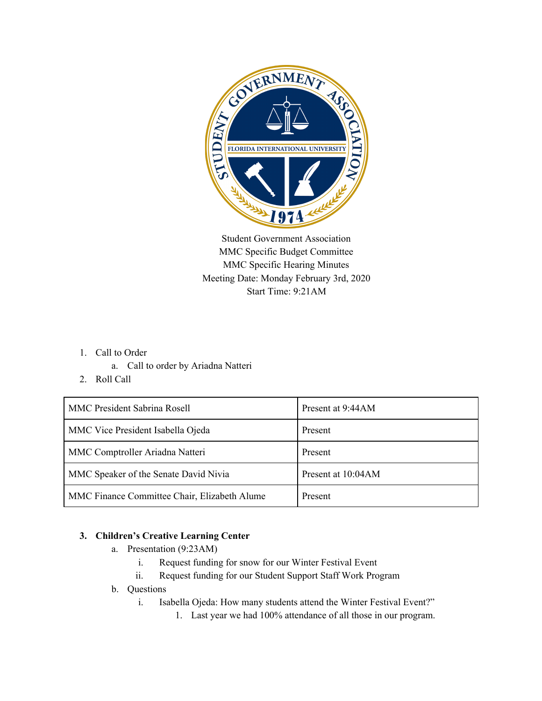

Student Government Association MMC Specific Budget Committee MMC Specific Hearing Minutes Meeting Date: Monday February 3rd, 2020 Start Time: 9:21AM

- 1. Call to Order
	- a. Call to order by Ariadna Natteri
- 2. Roll Call

| <b>MMC President Sabrina Rosell</b>          | Present at 9:44AM  |
|----------------------------------------------|--------------------|
| MMC Vice President Isabella Ojeda            | Present            |
| MMC Comptroller Ariadna Natteri              | Present            |
| MMC Speaker of the Senate David Nivia        | Present at 10:04AM |
| MMC Finance Committee Chair, Elizabeth Alume | Present            |

# **3. Children's Creative Learning Center**

- a. Presentation (9:23AM)
	- i. Request funding for snow for our Winter Festival Event
	- ii. Request funding for our Student Support Staff Work Program
- b. Questions
	- i. Isabella Ojeda: How many students attend the Winter Festival Event?"
		- 1. Last year we had 100% attendance of all those in our program.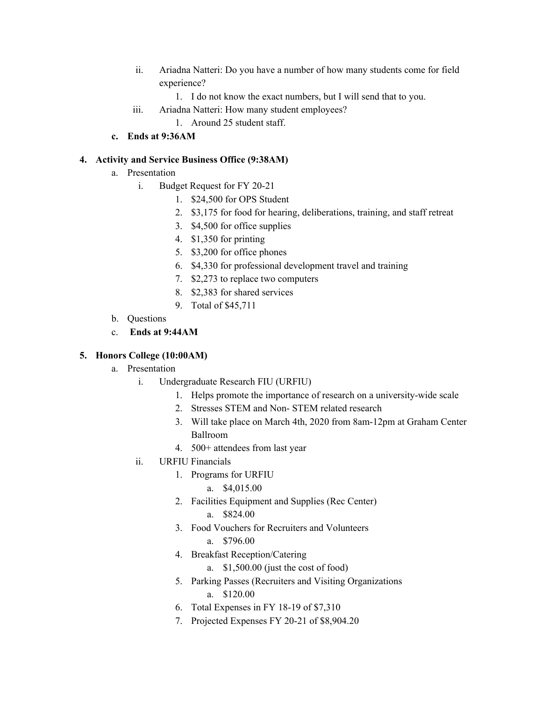- ii. Ariadna Natteri: Do you have a number of how many students come for field experience?
	- 1. I do not know the exact numbers, but I will send that to you.
- iii. Ariadna Natteri: How many student employees?
	- 1. Around 25 student staff.
- **c. Ends at 9:36AM**

#### **4. Activity and Service Business Office (9:38AM)**

- a. Presentation
	- i. Budget Request for FY 20-21
		- 1. \$24,500 for OPS Student
		- 2. \$3,175 for food for hearing, deliberations, training, and staff retreat
		- 3. \$4,500 for office supplies
		- 4. \$1,350 for printing
		- 5. \$3,200 for office phones
		- 6. \$4,330 for professional development travel and training
		- 7. \$2,273 to replace two computers
		- 8. \$2,383 for shared services
		- 9. Total of \$45,711
- b. Questions
- c. **Ends at 9:44AM**

### **5. Honors College (10:00AM)**

- a. Presentation
	- i. Undergraduate Research FIU (URFIU)
		- 1. Helps promote the importance of research on a university-wide scale
		- 2. Stresses STEM and Non- STEM related research
		- 3. Will take place on March 4th, 2020 from 8am-12pm at Graham Center Ballroom
		- 4. 500+ attendees from last year
	- ii. URFIU Financials
		- 1. Programs for URFIU
			- a. \$4,015.00
		- 2. Facilities Equipment and Supplies (Rec Center)
			- a. \$824.00
		- 3. Food Vouchers for Recruiters and Volunteers
			- a. \$796.00
		- 4. Breakfast Reception/Catering
			- a. \$1,500.00 (just the cost of food)
		- 5. Parking Passes (Recruiters and Visiting Organizations a. \$120.00
		- 6. Total Expenses in FY 18-19 of \$7,310
		- 7. Projected Expenses FY 20-21 of \$8,904.20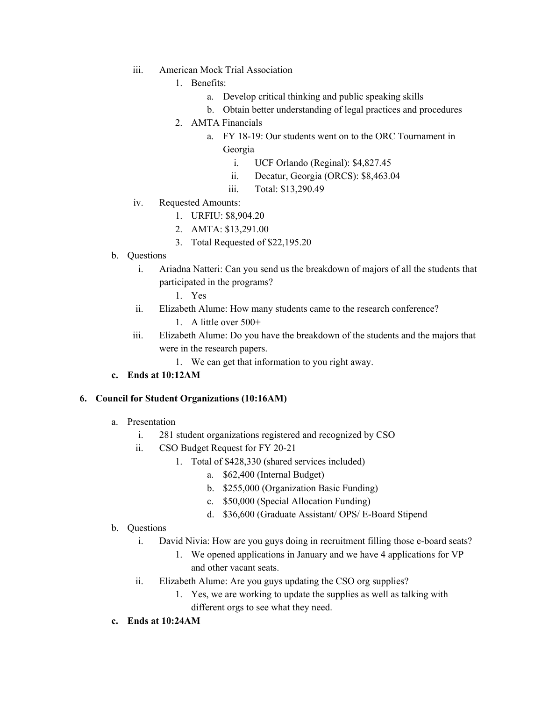- iii. American Mock Trial Association
	- 1. Benefits:
		- a. Develop critical thinking and public speaking skills
		- b. Obtain better understanding of legal practices and procedures
	- 2. AMTA Financials
		- a. FY 18-19: Our students went on to the ORC Tournament in Georgia
			- i. UCF Orlando (Reginal): \$4,827.45
			- ii. Decatur, Georgia (ORCS): \$8,463.04
			- iii. Total: \$13,290.49
- iv. Requested Amounts:
	- 1. URFIU: \$8,904.20
	- 2. AMTA: \$13,291.00
	- 3. Total Requested of \$22,195.20
- b. Questions
	- i. Ariadna Natteri: Can you send us the breakdown of majors of all the students that participated in the programs?
		- 1. Yes
	- ii. Elizabeth Alume: How many students came to the research conference?
		- 1. A little over 500+
	- iii. Elizabeth Alume: Do you have the breakdown of the students and the majors that were in the research papers.
		- 1. We can get that information to you right away.

### **c. Ends at 10:12AM**

### **6. Council for Student Organizations (10:16AM)**

- a. Presentation
	- i. 281 student organizations registered and recognized by CSO
	- ii. CSO Budget Request for FY 20-21
		- 1. Total of \$428,330 (shared services included)
			- a. \$62,400 (Internal Budget)
			- b. \$255,000 (Organization Basic Funding)
			- c. \$50,000 (Special Allocation Funding)
			- d. \$36,600 (Graduate Assistant/ OPS/ E-Board Stipend
- b. Questions
	- i. David Nivia: How are you guys doing in recruitment filling those e-board seats?
		- 1. We opened applications in January and we have 4 applications for VP and other vacant seats.
	- ii. Elizabeth Alume: Are you guys updating the CSO org supplies?
		- 1. Yes, we are working to update the supplies as well as talking with different orgs to see what they need.
- **c. Ends at 10:24AM**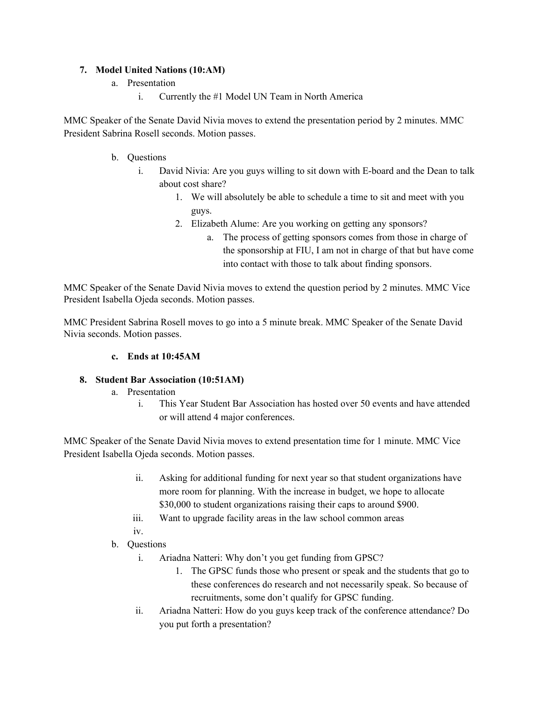## **7. Model United Nations (10:AM)**

- a. Presentation
	- i. Currently the #1 Model UN Team in North America

MMC Speaker of the Senate David Nivia moves to extend the presentation period by 2 minutes. MMC President Sabrina Rosell seconds. Motion passes.

## b. Questions

- i. David Nivia: Are you guys willing to sit down with E-board and the Dean to talk about cost share?
	- 1. We will absolutely be able to schedule a time to sit and meet with you guys.
	- 2. Elizabeth Alume: Are you working on getting any sponsors?
		- a. The process of getting sponsors comes from those in charge of the sponsorship at FIU, I am not in charge of that but have come into contact with those to talk about finding sponsors.

MMC Speaker of the Senate David Nivia moves to extend the question period by 2 minutes. MMC Vice President Isabella Ojeda seconds. Motion passes.

MMC President Sabrina Rosell moves to go into a 5 minute break. MMC Speaker of the Senate David Nivia seconds. Motion passes.

### **c. Ends at 10:45AM**

# **8. Student Bar Association (10:51AM)**

- a. Presentation
	- i. This Year Student Bar Association has hosted over 50 events and have attended or will attend 4 major conferences.

MMC Speaker of the Senate David Nivia moves to extend presentation time for 1 minute. MMC Vice President Isabella Ojeda seconds. Motion passes.

- ii. Asking for additional funding for next year so that student organizations have more room for planning. With the increase in budget, we hope to allocate \$30,000 to student organizations raising their caps to around \$900.
- iii. Want to upgrade facility areas in the law school common areas
- iv.
- b. Questions
	- i. Ariadna Natteri: Why don't you get funding from GPSC?
		- 1. The GPSC funds those who present or speak and the students that go to these conferences do research and not necessarily speak. So because of recruitments, some don't qualify for GPSC funding.
	- ii. Ariadna Natteri: How do you guys keep track of the conference attendance? Do you put forth a presentation?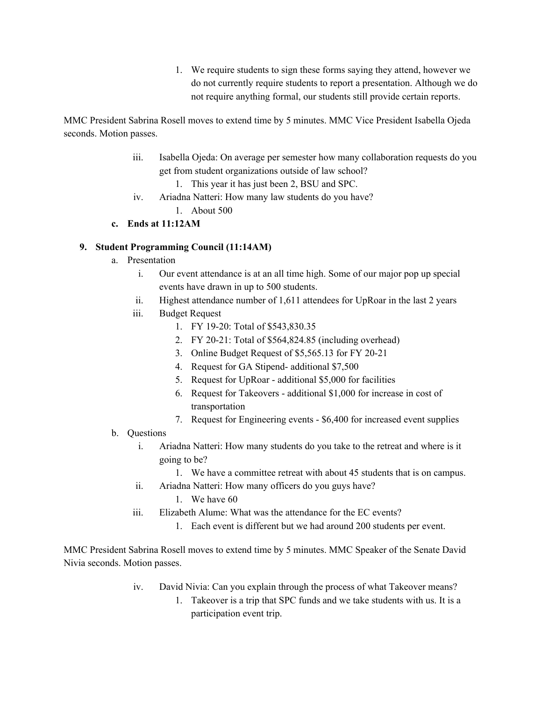1. We require students to sign these forms saying they attend, however we do not currently require students to report a presentation. Although we do not require anything formal, our students still provide certain reports.

MMC President Sabrina Rosell moves to extend time by 5 minutes. MMC Vice President Isabella Ojeda seconds. Motion passes.

- iii. Isabella Ojeda: On average per semester how many collaboration requests do you get from student organizations outside of law school?
	- 1. This year it has just been 2, BSU and SPC.
- iv. Ariadna Natteri: How many law students do you have?
	- 1. About 500

# **c. Ends at 11:12AM**

### **9. Student Programming Council (11:14AM)**

- a. Presentation
	- i. Our event attendance is at an all time high. Some of our major pop up special events have drawn in up to 500 students.
	- ii. Highest attendance number of 1,611 attendees for UpRoar in the last 2 years
	- iii. Budget Request
		- 1. FY 19-20: Total of \$543,830.35
		- 2. FY 20-21: Total of \$564,824.85 (including overhead)
		- 3. Online Budget Request of \$5,565.13 for FY 20-21
		- 4. Request for GA Stipend- additional \$7,500
		- 5. Request for UpRoar additional \$5,000 for facilities
		- 6. Request for Takeovers additional \$1,000 for increase in cost of transportation
		- 7. Request for Engineering events \$6,400 for increased event supplies
- b. Questions
	- i. Ariadna Natteri: How many students do you take to the retreat and where is it going to be?
		- 1. We have a committee retreat with about 45 students that is on campus.
	- ii. Ariadna Natteri: How many officers do you guys have?
		- 1. We have 60
	- iii. Elizabeth Alume: What was the attendance for the EC events?
		- 1. Each event is different but we had around 200 students per event.

MMC President Sabrina Rosell moves to extend time by 5 minutes. MMC Speaker of the Senate David Nivia seconds. Motion passes.

- iv. David Nivia: Can you explain through the process of what Takeover means?
	- 1. Takeover is a trip that SPC funds and we take students with us. It is a participation event trip.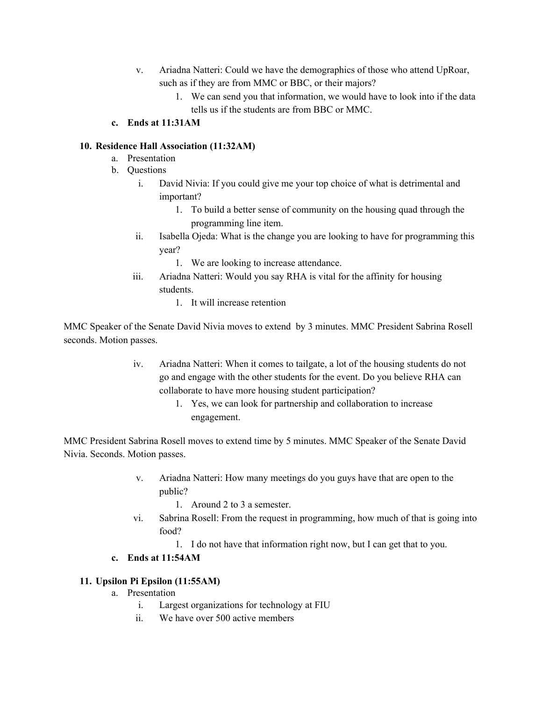- v. Ariadna Natteri: Could we have the demographics of those who attend UpRoar, such as if they are from MMC or BBC, or their majors?
	- 1. We can send you that information, we would have to look into if the data tells us if the students are from BBC or MMC.

### **c. Ends at 11:31AM**

### **10. Residence Hall Association (11:32AM)**

- a. Presentation
- b. Questions
	- i. David Nivia: If you could give me your top choice of what is detrimental and important?
		- 1. To build a better sense of community on the housing quad through the programming line item.
	- ii. Isabella Ojeda: What is the change you are looking to have for programming this year?
		- 1. We are looking to increase attendance.
	- iii. Ariadna Natteri: Would you say RHA is vital for the affinity for housing students.
		- 1. It will increase retention

MMC Speaker of the Senate David Nivia moves to extend by 3 minutes. MMC President Sabrina Rosell seconds. Motion passes.

- iv. Ariadna Natteri: When it comes to tailgate, a lot of the housing students do not go and engage with the other students for the event. Do you believe RHA can collaborate to have more housing student participation?
	- 1. Yes, we can look for partnership and collaboration to increase engagement.

MMC President Sabrina Rosell moves to extend time by 5 minutes. MMC Speaker of the Senate David Nivia. Seconds. Motion passes.

- v. Ariadna Natteri: How many meetings do you guys have that are open to the public?
	- 1. Around 2 to 3 a semester.
- vi. Sabrina Rosell: From the request in programming, how much of that is going into food?
	- 1. I do not have that information right now, but I can get that to you.
- **c. Ends at 11:54AM**

#### **11. Upsilon Pi Epsilon (11:55AM)**

- a. Presentation
	- i. Largest organizations for technology at FIU
	- ii. We have over 500 active members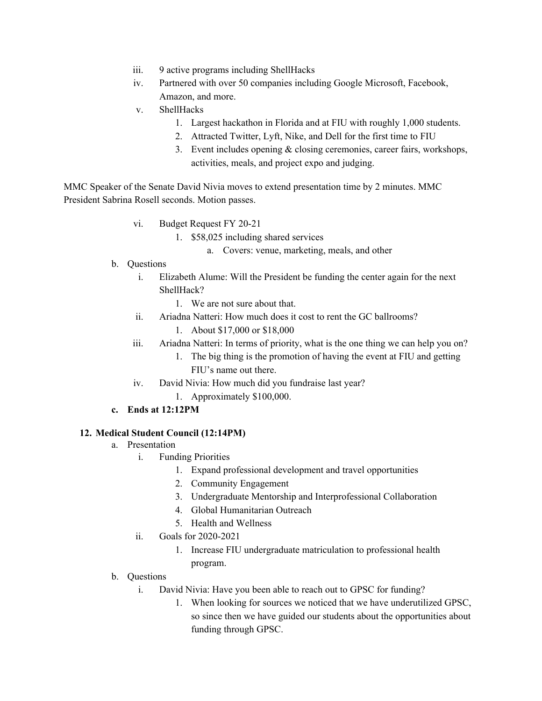- iii. 9 active programs including ShellHacks
- iv. Partnered with over 50 companies including Google Microsoft, Facebook, Amazon, and more.
- v. ShellHacks
	- 1. Largest hackathon in Florida and at FIU with roughly 1,000 students.
	- 2. Attracted Twitter, Lyft, Nike, and Dell for the first time to FIU
	- 3. Event includes opening & closing ceremonies, career fairs, workshops, activities, meals, and project expo and judging.

MMC Speaker of the Senate David Nivia moves to extend presentation time by 2 minutes. MMC President Sabrina Rosell seconds. Motion passes.

- vi. Budget Request FY 20-21
	- 1. \$58,025 including shared services
		- a. Covers: venue, marketing, meals, and other
- b. Questions
	- i. Elizabeth Alume: Will the President be funding the center again for the next ShellHack?
		- 1. We are not sure about that.
	- ii. Ariadna Natteri: How much does it cost to rent the GC ballrooms?
		- 1. About \$17,000 or \$18,000
	- iii. Ariadna Natteri: In terms of priority, what is the one thing we can help you on?
		- 1. The big thing is the promotion of having the event at FIU and getting FIU's name out there.
	- iv. David Nivia: How much did you fundraise last year?
		- 1. Approximately \$100,000.
- **c. Ends at 12:12PM**

### **12. Medical Student Council (12:14PM)**

- a. Presentation
	- i. Funding Priorities
		- 1. Expand professional development and travel opportunities
		- 2. Community Engagement
		- 3. Undergraduate Mentorship and Interprofessional Collaboration
		- 4. Global Humanitarian Outreach
		- 5. Health and Wellness
	- ii. Goals for 2020-2021
		- 1. Increase FIU undergraduate matriculation to professional health program.
- b. Questions
	- i. David Nivia: Have you been able to reach out to GPSC for funding?
		- 1. When looking for sources we noticed that we have underutilized GPSC, so since then we have guided our students about the opportunities about funding through GPSC.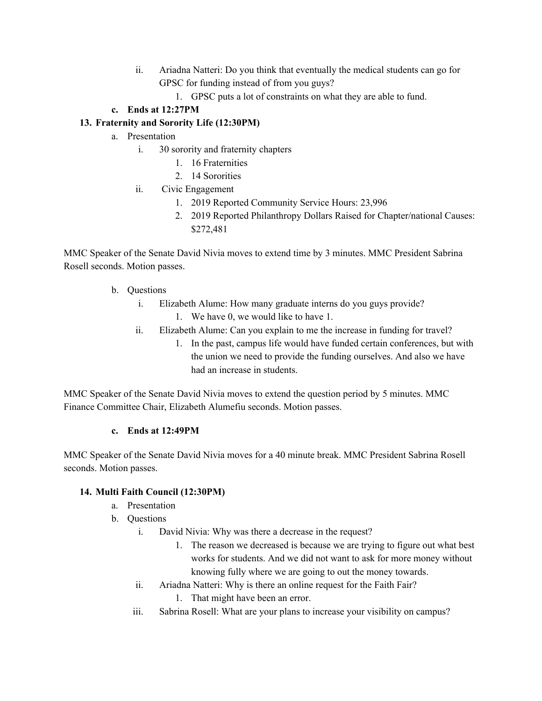- ii. Ariadna Natteri: Do you think that eventually the medical students can go for GPSC for funding instead of from you guys?
	- 1. GPSC puts a lot of constraints on what they are able to fund.

## **c. Ends at 12:27PM**

## **13. Fraternity and Sorority Life (12:30PM)**

- a. Presentation
	- i. 30 sorority and fraternity chapters
		- 1. 16 Fraternities
		- 2. 14 Sororities
	- ii. Civic Engagement
		- 1. 2019 Reported Community Service Hours: 23,996
		- 2. 2019 Reported Philanthropy Dollars Raised for Chapter/national Causes: \$272,481

MMC Speaker of the Senate David Nivia moves to extend time by 3 minutes. MMC President Sabrina Rosell seconds. Motion passes.

- b. Questions
	- i. Elizabeth Alume: How many graduate interns do you guys provide?
		- 1. We have 0, we would like to have 1.
	- ii. Elizabeth Alume: Can you explain to me the increase in funding for travel?
		- 1. In the past, campus life would have funded certain conferences, but with the union we need to provide the funding ourselves. And also we have had an increase in students.

MMC Speaker of the Senate David Nivia moves to extend the question period by 5 minutes. MMC Finance Committee Chair, Elizabeth Alumefiu seconds. Motion passes.

### **c. Ends at 12:49PM**

MMC Speaker of the Senate David Nivia moves for a 40 minute break. MMC President Sabrina Rosell seconds. Motion passes.

### **14. Multi Faith Council (12:30PM)**

- a. Presentation
- b. Questions
	- i. David Nivia: Why was there a decrease in the request?
		- 1. The reason we decreased is because we are trying to figure out what best works for students. And we did not want to ask for more money without knowing fully where we are going to out the money towards.
	- ii. Ariadna Natteri: Why is there an online request for the Faith Fair?
		- 1. That might have been an error.
	- iii. Sabrina Rosell: What are your plans to increase your visibility on campus?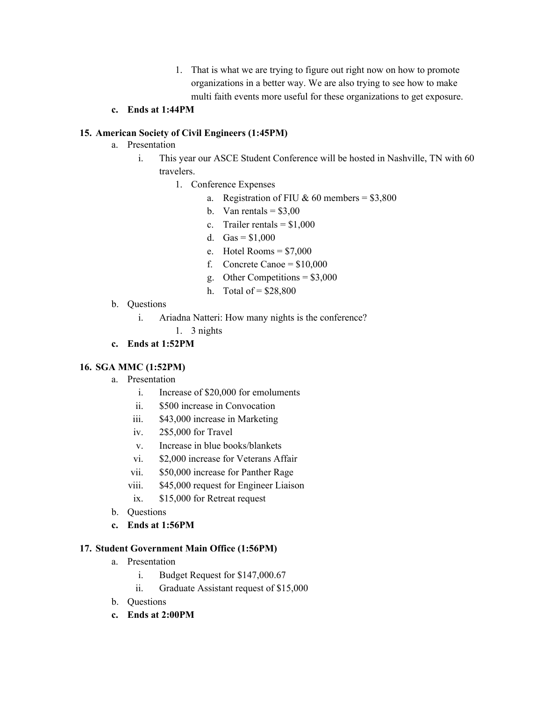1. That is what we are trying to figure out right now on how to promote organizations in a better way. We are also trying to see how to make multi faith events more useful for these organizations to get exposure.

#### **c. Ends at 1:44PM**

### **15. American Society of Civil Engineers (1:45PM)**

- a. Presentation
	- i. This year our ASCE Student Conference will be hosted in Nashville, TN with 60 travelers.
		- 1. Conference Expenses
			- a. Registration of FIU & 60 members =  $$3,800$
			- b. Van rentals  $=$  \$3,00
			- c. Trailer rentals  $= $1,000$
			- d.  $Gas = $1,000$
			- e. Hotel Rooms  $= $7,000$
			- f. Concrete Canoe =  $$10,000$
			- g. Other Competitions =  $$3,000$
			- h. Total of  $= $28,800$
- b. Questions
	- i. Ariadna Natteri: How many nights is the conference?
		- 1. 3 nights

#### **c. Ends at 1:52PM**

#### **16. SGA MMC (1:52PM)**

- a. Presentation
	- i. Increase of \$20,000 for emoluments
	- ii. \$500 increase in Convocation
	- iii. \$43,000 increase in Marketing
	- iv. 2\$5,000 for Travel
	- v. Increase in blue books/blankets
	- vi. \$2,000 increase for Veterans Affair
	- vii. \$50,000 increase for Panther Rage
	- viii. \$45,000 request for Engineer Liaison
	- ix. \$15,000 for Retreat request
- b. Questions
- **c. Ends at 1:56PM**

#### **17. Student Government Main Office (1:56PM)**

- a. Presentation
	- i. Budget Request for \$147,000.67
	- ii. Graduate Assistant request of \$15,000
- b. Questions
- **c. Ends at 2:00PM**